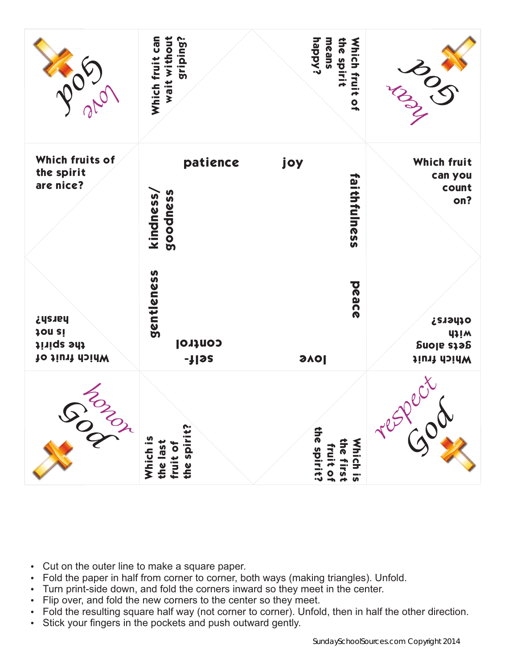|                                                                | Which fruit can<br>wait without<br>sriping?     | <b>happy?</b><br>means<br>the spirit<br>Which fruit of | BOS                                                               |
|----------------------------------------------------------------|-------------------------------------------------|--------------------------------------------------------|-------------------------------------------------------------------|
| Which fruits of<br>the spirit<br>are nice?                     | patience<br>goodness<br>kindness,               | joy<br>faithfulness                                    | Which fruit<br>can you<br>count<br>on?                            |
| harsh?<br>jon <i>si</i><br>the spirit<br><b>Nhich fruit of</b> | gentleness<br><b>Control</b><br>-} 9S           | peace<br><b>PAS</b>                                    | ofhers?<br><b>UJIW</b><br><b>Suoje stag</b><br><b>Vhich fruit</b> |
| <b>SORON</b>                                                   | the spirit?<br>Which is<br>the last<br>fruit of | the spirit?<br>the first<br>Which is<br>fruit of       | Tesper de                                                         |

- Cut on the outer line to make a square paper.
- Fold the paper in half from corner to corner, both ways (making triangles). Unfold.
- Turn print-side down, and fold the corners inward so they meet in the center.
- Flip over, and fold the new corners to the center so they meet.
- Fold the resulting square half way (not corner to corner). Unfold, then in half the other direction.
- Stick your fingers in the pockets and push outward gently.